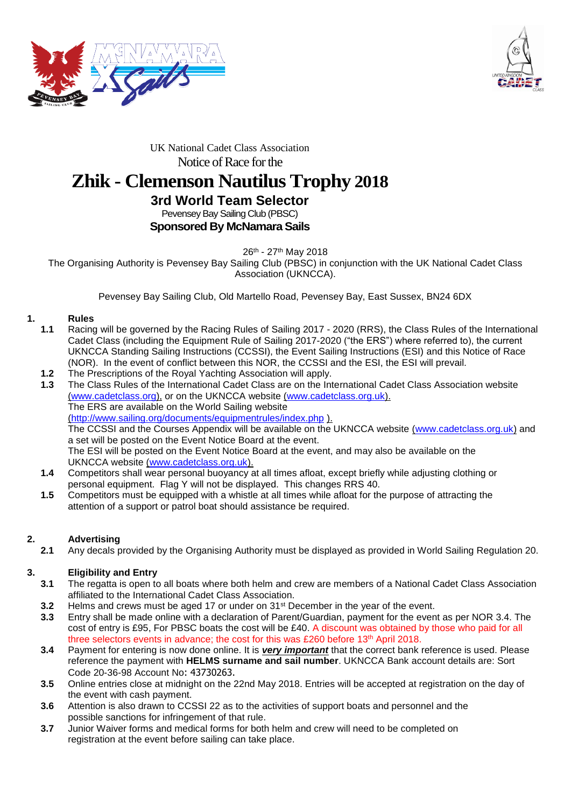



### UK National Cadet Class Association Notice of Race for the

# **Zhik - Clemenson Nautilus Trophy 2018**

#### **3rd World Team Selector** Pevensey Bay Sailing Club (PBSC) **Sponsored By McNamara Sails**

26<sup>th</sup> - 27<sup>th</sup> May 2018

The Organising Authority is Pevensey Bay Sailing Club (PBSC) in conjunction with the UK National Cadet Class Association (UKNCCA).

Pevensey Bay Sailing Club, Old Martello Road, Pevensey Bay, East Sussex, BN24 6DX

### **1. Rules**

- **1.1** Racing will be governed by the Racing Rules of Sailing 2017 2020 (RRS), the Class Rules of the International Cadet Class (including the Equipment Rule of Sailing 2017-2020 ("the ERS") where referred to), the current UKNCCA Standing Sailing Instructions (CCSSI), the Event Sailing Instructions (ESI) and this Notice of Race (NOR). In the event of conflict between this NOR, the CCSSI and the ESI, the ESI will prevail.
- **1.2** The Prescriptions of the Royal Yachting Association will apply.
- **1.3** The Class Rules of the International Cadet Class are on the International Cadet Class Association website [\(www.cadetclass.org\)](http://www.cadetclass.org/), or on the UKNCCA website [\(www.cadetclass.org.uk\)](http://www.cadetclass.org.uk/). The ERS are available on the World Sailing website [\(http://www.sailing.org/documents/equipmentrules/index.php](http://www.sailing.org/documents/equipmentrules/index.php) ). The CCSSI and the Courses Appendix will be available on the UKNCCA website [\(www.cadetclass.org.uk\)](http://www.cadetclass.org.uk/) and a set will be posted on the Event Notice Board at the event. The ESI will be posted on the Event Notice Board at the event, and may also be available on the UKNCCA website [\(www.cadetclass.org.uk\)](http://www.cadetclass.org.uk/).
- **1.4** Competitors shall wear personal buoyancy at all times afloat, except briefly while adjusting clothing or personal equipment. Flag Y will not be displayed. This changes RRS 40.
- **1.5** Competitors must be equipped with a whistle at all times while afloat for the purpose of attracting the attention of a support or patrol boat should assistance be required.

## **2. Advertising**

**2.1** Any decals provided by the Organising Authority must be displayed as provided in World Sailing Regulation 20.

#### **3. Eligibility and Entry**

- **3.1** The regatta is open to all boats where both helm and crew are members of a National Cadet Class Association affiliated to the International Cadet Class Association.
- **3.2** Helms and crews must be aged 17 or under on 31<sup>st</sup> December in the year of the event.
- **3.3** Entry shall be made online with a declaration of Parent/Guardian, payment for the event as per NOR 3.4. The cost of entry is £95, For PBSC boats the cost will be £40. A discount was obtained by those who paid for all three selectors events in advance; the cost for this was £260 before 13<sup>th</sup> April 2018.
- **3.4** Payment for entering is now done online. It is *very important* that the correct bank reference is used. Please reference the payment with **HELMS surname and sail number**. UKNCCA Bank account details are: Sort Code 20-36-98 Account No: 43730263.
- **3.5** Online entries close at midnight on the 22nd May 2018. Entries will be accepted at registration on the day of the event with cash payment.
- **3.6** Attention is also drawn to CCSSI 22 as to the activities of support boats and personnel and the possible sanctions for infringement of that rule.
- **3.7** Junior Waiver forms and medical forms for both helm and crew will need to be completed on registration at the event before sailing can take place.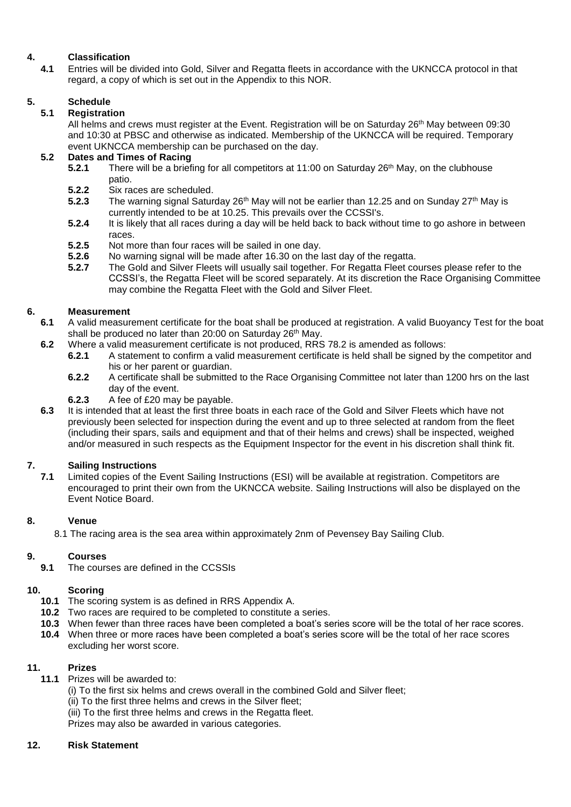## **4. Classification**

**4.1** Entries will be divided into Gold, Silver and Regatta fleets in accordance with the UKNCCA protocol in that regard, a copy of which is set out in the Appendix to this NOR.

## **5. Schedule**

#### **5.1 Registration**

All helms and crews must register at the Event. Registration will be on Saturday 26<sup>th</sup> May between 09:30 and 10:30 at PBSC and otherwise as indicated. Membership of the UKNCCA will be required. Temporary event UKNCCA membership can be purchased on the day.

#### **5.2 Dates and Times of Racing**

- **5.2.1** There will be a briefing for all competitors at 11:00 on Saturday 26<sup>th</sup> May, on the clubhouse patio.
- **5.2.2** Six races are scheduled.
- **5.2.3** The warning signal Saturday 26<sup>th</sup> May will not be earlier than 12.25 and on Sunday 27<sup>th</sup> May is currently intended to be at 10.25. This prevails over the CCSSI's.
- **5.2.4** It is likely that all races during a day will be held back to back without time to go ashore in between races.
- **5.2.5** Not more than four races will be sailed in one day.<br>**5.2.6** No warning signal will be made after 16.30 on the l
- **5.2.6** No warning signal will be made after 16.30 on the last day of the regatta.<br>**5.2.7** The Gold and Silver Fleets will usually sail together. For Regatta Fleet co
- **5.2.7** The Gold and Silver Fleets will usually sail together. For Regatta Fleet courses please refer to the CCSSI's, the Regatta Fleet will be scored separately. At its discretion the Race Organising Committee may combine the Regatta Fleet with the Gold and Silver Fleet.

## **6. Measurement**

- **6.1** A valid measurement certificate for the boat shall be produced at registration. A valid Buoyancy Test for the boat shall be produced no later than 20:00 on Saturday 26<sup>th</sup> May.
- **6.2** Where a valid measurement certificate is not produced, RRS 78.2 is amended as follows:<br>**6.2.1** A statement to confirm a valid measurement certificate is held shall be signed by
	- **6.2.1** A statement to confirm a valid measurement certificate is held shall be signed by the competitor and his or her parent or quardian.
	- **6.2.2** A certificate shall be submitted to the Race Organising Committee not later than 1200 hrs on the last day of the event.
	- **6.2.3** A fee of £20 may be payable.
- **6.3** It is intended that at least the first three boats in each race of the Gold and Silver Fleets which have not previously been selected for inspection during the event and up to three selected at random from the fleet (including their spars, sails and equipment and that of their helms and crews) shall be inspected, weighed and/or measured in such respects as the Equipment Inspector for the event in his discretion shall think fit.

## **7. Sailing Instructions**

**7.1** Limited copies of the Event Sailing Instructions (ESI) will be available at registration. Competitors are encouraged to print their own from the UKNCCA website. Sailing Instructions will also be displayed on the Event Notice Board.

#### **8. Venue**

8.1 The racing area is the sea area within approximately 2nm of Pevensey Bay Sailing Club.

#### **9. Courses**

**9.1** The courses are defined in the CCSSIs

#### **10. Scoring**

- **10.1** The scoring system is as defined in RRS Appendix A.
- **10.2** Two races are required to be completed to constitute a series.
- **10.3** When fewer than three races have been completed a boat's series score will be the total of her race scores.
- **10.4** When three or more races have been completed a boat's series score will be the total of her race scores excluding her worst score.

#### **11. Prizes**

- **11.1** Prizes will be awarded to:
	- (i) To the first six helms and crews overall in the combined Gold and Silver fleet;
	- (ii) To the first three helms and crews in the Silver fleet;
	- (iii) To the first three helms and crews in the Regatta fleet.
	- Prizes may also be awarded in various categories.

#### **12. Risk Statement**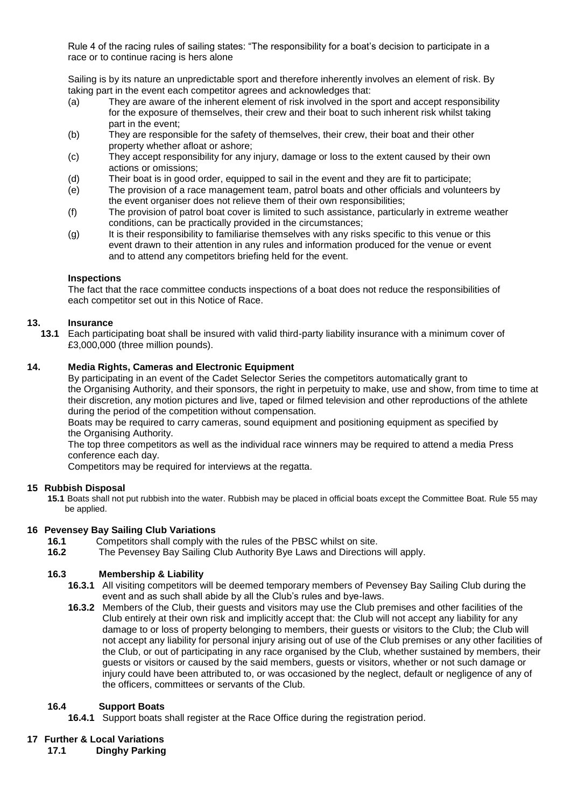Rule 4 of the racing rules of sailing states: "The responsibility for a boat's decision to participate in a race or to continue racing is hers alone

Sailing is by its nature an unpredictable sport and therefore inherently involves an element of risk. By taking part in the event each competitor agrees and acknowledges that:

- (a) They are aware of the inherent element of risk involved in the sport and accept responsibility for the exposure of themselves, their crew and their boat to such inherent risk whilst taking part in the event;
- (b) They are responsible for the safety of themselves, their crew, their boat and their other property whether afloat or ashore;
- (c) They accept responsibility for any injury, damage or loss to the extent caused by their own actions or omissions;
- (d) Their boat is in good order, equipped to sail in the event and they are fit to participate;
- (e) The provision of a race management team, patrol boats and other officials and volunteers by the event organiser does not relieve them of their own responsibilities;
- (f) The provision of patrol boat cover is limited to such assistance, particularly in extreme weather conditions, can be practically provided in the circumstances;
- (g) It is their responsibility to familiarise themselves with any risks specific to this venue or this event drawn to their attention in any rules and information produced for the venue or event and to attend any competitors briefing held for the event.

#### **Inspections**

The fact that the race committee conducts inspections of a boat does not reduce the responsibilities of each competitor set out in this Notice of Race.

### **13. Insurance**

**13.1** Each participating boat shall be insured with valid third-party liability insurance with a minimum cover of £3,000,000 (three million pounds).

#### **14. Media Rights, Cameras and Electronic Equipment**

By participating in an event of the Cadet Selector Series the competitors automatically grant to the Organising Authority, and their sponsors, the right in perpetuity to make, use and show, from time to time at their discretion, any motion pictures and live, taped or filmed television and other reproductions of the athlete during the period of the competition without compensation.

Boats may be required to carry cameras, sound equipment and positioning equipment as specified by the Organising Authority.

The top three competitors as well as the individual race winners may be required to attend a media Press conference each day.

Competitors may be required for interviews at the regatta.

#### **15 Rubbish Disposal**

**15.1** Boats shall not put rubbish into the water. Rubbish may be placed in official boats except the Committee Boat. Rule 55 may be applied.

#### **16 Pevensey Bay Sailing Club Variations**

- **16.1** Competitors shall comply with the rules of the PBSC whilst on site.
- **16.2** The Pevensey Bay Sailing Club Authority Bye Laws and Directions will apply.

#### **16.3 Membership & Liability**

- **16.3.1** All visiting competitors will be deemed temporary members of Pevensey Bay Sailing Club during the event and as such shall abide by all the Club's rules and bye-laws.
- **16.3.2** Members of the Club, their guests and visitors may use the Club premises and other facilities of the Club entirely at their own risk and implicitly accept that: the Club will not accept any liability for any damage to or loss of property belonging to members, their guests or visitors to the Club; the Club will not accept any liability for personal injury arising out of use of the Club premises or any other facilities of the Club, or out of participating in any race organised by the Club, whether sustained by members, their guests or visitors or caused by the said members, guests or visitors, whether or not such damage or injury could have been attributed to, or was occasioned by the neglect, default or negligence of any of the officers, committees or servants of the Club.

#### **16.4 Support Boats**

**16.4.1** Support boats shall register at the Race Office during the registration period.

#### **17 Further & Local Variations**

**17.1 Dinghy Parking**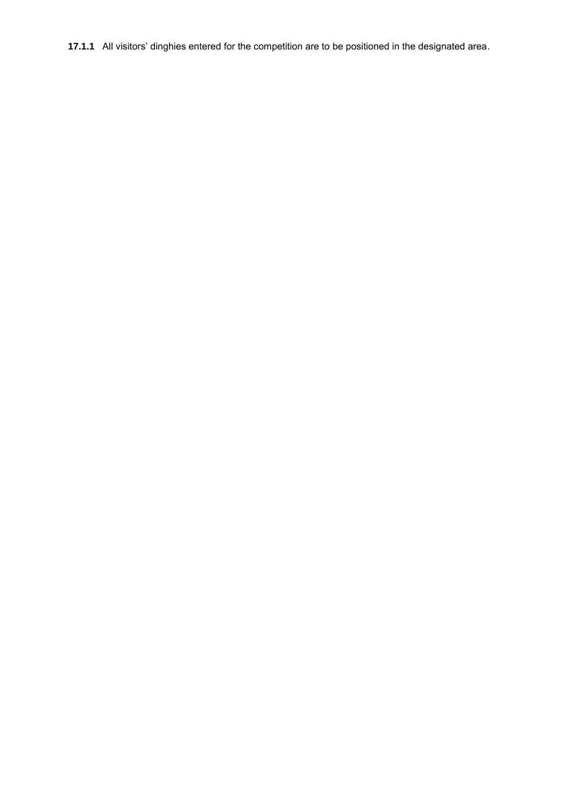**17.1.1** All visitors' dinghies entered for the competition are to be positioned in the designated area.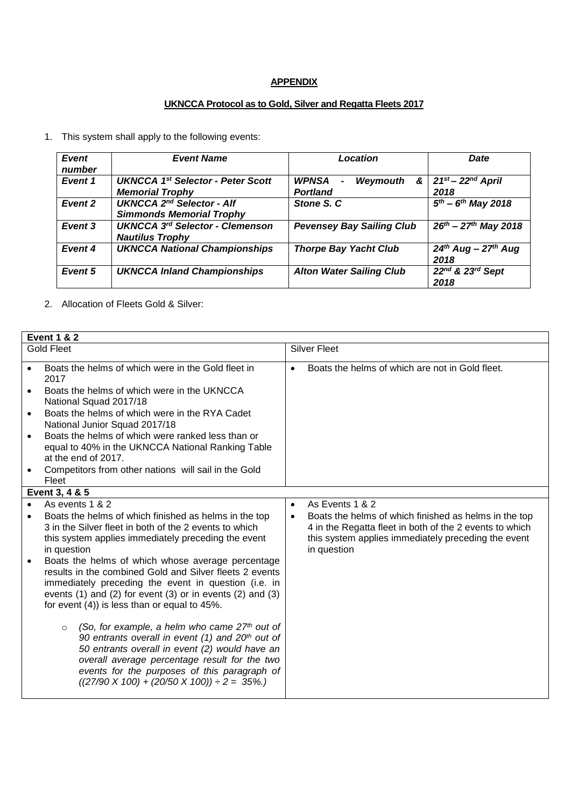#### **APPENDIX**

#### **UKNCCA Protocol as to Gold, Silver and Regatta Fleets 2017**

1. This system shall apply to the following events:

| Event<br>number | <b>Event Name</b>                                                              | Location                                                                  | <b>Date</b>                         |  |
|-----------------|--------------------------------------------------------------------------------|---------------------------------------------------------------------------|-------------------------------------|--|
| Event 1         | <b>UKNCCA 1st Selector - Peter Scott</b><br><b>Memorial Trophy</b>             | WPNSA<br>&<br>Weymouth<br>$\qquad \qquad \blacksquare$<br><b>Portland</b> | $21st - 22nd$ April<br>2018         |  |
| Event 2         | <b>UKNCCA 2<sup>nd</sup> Selector - Alf</b><br><b>Simmonds Memorial Trophy</b> | Stone S. C                                                                | $\sqrt{5^{th} - 6^{th}}$ May 2018   |  |
| Event 3         | <b>UKNCCA 3rd Selector - Clemenson</b><br><b>Nautilus Trophy</b>               | <b>Pevensey Bay Sailing Club</b>                                          | $\sqrt{26^{th} - 27^{th}}$ May 2018 |  |
| Event 4         | <b>UKNCCA National Championships</b>                                           | <b>Thorpe Bay Yacht Club</b>                                              | $24th$ Aug - $27th$ Aug<br>2018     |  |
| Event 5         | <b>UKNCCA Inland Championships</b>                                             | <b>Alton Water Sailing Club</b>                                           | 22nd & 23rd Sept<br>2018            |  |

2. Allocation of Fleets Gold & Silver:

| <b>Event 1 &amp; 2</b>                                                                                                                                                                                                                                                                                      |                                                                                                                                                                                                                                                                                                                                    |                     |                                                                                                                                                                                        |  |  |
|-------------------------------------------------------------------------------------------------------------------------------------------------------------------------------------------------------------------------------------------------------------------------------------------------------------|------------------------------------------------------------------------------------------------------------------------------------------------------------------------------------------------------------------------------------------------------------------------------------------------------------------------------------|---------------------|----------------------------------------------------------------------------------------------------------------------------------------------------------------------------------------|--|--|
| <b>Gold Fleet</b>                                                                                                                                                                                                                                                                                           |                                                                                                                                                                                                                                                                                                                                    | <b>Silver Fleet</b> |                                                                                                                                                                                        |  |  |
| $\bullet$                                                                                                                                                                                                                                                                                                   | Boats the helms of which were in the Gold fleet in<br>2017                                                                                                                                                                                                                                                                         | $\bullet$           | Boats the helms of which are not in Gold fleet.                                                                                                                                        |  |  |
| $\bullet$                                                                                                                                                                                                                                                                                                   | Boats the helms of which were in the UKNCCA<br>National Squad 2017/18                                                                                                                                                                                                                                                              |                     |                                                                                                                                                                                        |  |  |
| $\bullet$                                                                                                                                                                                                                                                                                                   | Boats the helms of which were in the RYA Cadet<br>National Junior Squad 2017/18                                                                                                                                                                                                                                                    |                     |                                                                                                                                                                                        |  |  |
| $\bullet$                                                                                                                                                                                                                                                                                                   | Boats the helms of which were ranked less than or<br>equal to 40% in the UKNCCA National Ranking Table<br>at the end of 2017.                                                                                                                                                                                                      |                     |                                                                                                                                                                                        |  |  |
|                                                                                                                                                                                                                                                                                                             | Competitors from other nations will sail in the Gold<br>Fleet                                                                                                                                                                                                                                                                      |                     |                                                                                                                                                                                        |  |  |
| Event 3, 4 & 5                                                                                                                                                                                                                                                                                              |                                                                                                                                                                                                                                                                                                                                    |                     |                                                                                                                                                                                        |  |  |
| $\bullet$                                                                                                                                                                                                                                                                                                   | As events 1 & 2                                                                                                                                                                                                                                                                                                                    | $\bullet$           | As Events 1 & 2                                                                                                                                                                        |  |  |
|                                                                                                                                                                                                                                                                                                             | Boats the helms of which finished as helms in the top<br>3 in the Silver fleet in both of the 2 events to which<br>this system applies immediately preceding the event<br>in question                                                                                                                                              | $\bullet$           | Boats the helms of which finished as helms in the top<br>4 in the Regatta fleet in both of the 2 events to which<br>this system applies immediately preceding the event<br>in question |  |  |
| Boats the helms of which whose average percentage<br>$\bullet$<br>results in the combined Gold and Silver fleets 2 events<br>immediately preceding the event in question (i.e. in<br>events $(1)$ and $(2)$ for event $(3)$ or in events $(2)$ and $(3)$<br>for event $(4)$ ) is less than or equal to 45%. |                                                                                                                                                                                                                                                                                                                                    |                     |                                                                                                                                                                                        |  |  |
|                                                                                                                                                                                                                                                                                                             | (So, for example, a helm who came $27th$ out of<br>$\circ$<br>90 entrants overall in event (1) and 20 <sup>th</sup> out of<br>50 entrants overall in event (2) would have an<br>overall average percentage result for the two<br>events for the purposes of this paragraph of<br>$((27/90 X 100) + (20/50 X 100)) \div 2 = 35\%$ . |                     |                                                                                                                                                                                        |  |  |